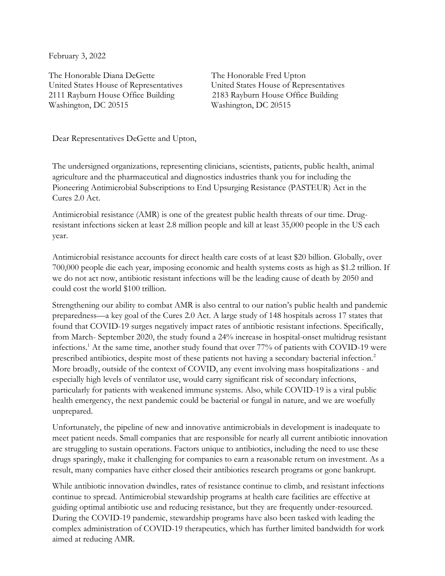February 3, 2022

The Honorable Diana DeGette The Honorable Fred Upton United States House of Representatives United States House of Representatives 2111 Rayburn House Office Building 2183 Rayburn House Office Building Washington, DC 20515 Washington, DC 20515

Dear Representatives DeGette and Upton,

The undersigned organizations, representing clinicians, scientists, patients, public health, animal agriculture and the pharmaceutical and diagnostics industries thank you for including the Pioneering Antimicrobial Subscriptions to End Upsurging Resistance (PASTEUR) Act in the Cures 2.0 Act.

Antimicrobial resistance (AMR) is one of the greatest public health threats of our time. Drugresistant infections sicken at least 2.8 million people and kill at least 35,000 people in the US each year.

Antimicrobial resistance accounts for direct health care costs of at least \$20 billion. Globally, over 700,000 people die each year, imposing economic and health systems costs as high as \$1.2 trillion. If we do not act now, antibiotic resistant infections will be the leading cause of death by 2050 and could cost the world \$100 trillion.

Strengthening our ability to combat AMR is also central to our nation's public health and pandemic preparedness—a key goal of the Cures 2.0 Act. A large study of 148 hospitals across 17 states that found that COVID-19 surges negatively impact rates of antibiotic resistant infections. Specifically, from March- September 2020, the study found a 24% increase in hospital-onset multidrug resistant infections.<sup>1</sup> At the same time, another study found that over 77% of patients with COVID-19 were prescribed antibiotics, despite most of these patients not having a secondary bacterial infection.<sup>2</sup> More broadly, outside of the context of COVID, any event involving mass hospitalizations - and especially high levels of ventilator use, would carry significant risk of secondary infections, particularly for patients with weakened immune systems. Also, while COVID-19 is a viral public health emergency, the next pandemic could be bacterial or fungal in nature, and we are woefully unprepared.

Unfortunately, the pipeline of new and innovative antimicrobials in development is inadequate to meet patient needs. Small companies that are responsible for nearly all current antibiotic innovation are struggling to sustain operations. Factors unique to antibiotics, including the need to use these drugs sparingly, make it challenging for companies to earn a reasonable return on investment. As a result, many companies have either closed their antibiotics research programs or gone bankrupt.

While antibiotic innovation dwindles, rates of resistance continue to climb, and resistant infections continue to spread. Antimicrobial stewardship programs at health care facilities are effective at guiding optimal antibiotic use and reducing resistance, but they are frequently under-resourced. During the COVID-19 pandemic, stewardship programs have also been tasked with leading the complex administration of COVID-19 therapeutics, which has further limited bandwidth for work aimed at reducing AMR.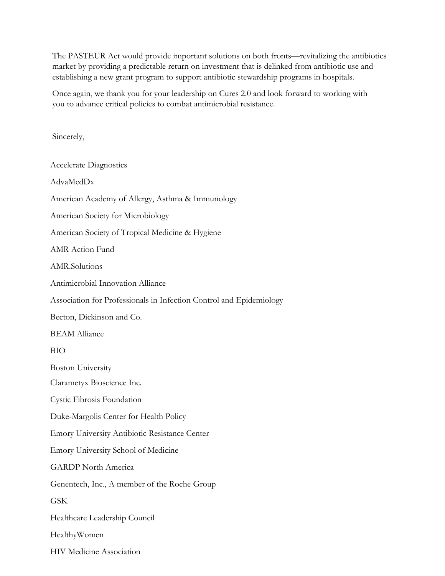The PASTEUR Act would provide important solutions on both fronts—revitalizing the antibiotics market by providing a predictable return on investment that is delinked from antibiotic use and establishing a new grant program to support antibiotic stewardship programs in hospitals.

Once again, we thank you for your leadership on Cures 2.0 and look forward to working with you to advance critical policies to combat antimicrobial resistance.

Sincerely,

Accelerate Diagnostics AdvaMedDx American Academy of Allergy, Asthma & Immunology American Society for Microbiology American Society of Tropical Medicine & Hygiene AMR Action Fund AMR.Solutions Antimicrobial Innovation Alliance Association for Professionals in Infection Control and Epidemiology Becton, Dickinson and Co. BEAM Alliance BIO Boston University Clarametyx Bioscience Inc. Cystic Fibrosis Foundation Duke-Margolis Center for Health Policy Emory University Antibiotic Resistance Center Emory University School of Medicine GARDP North America Genentech, Inc., A member of the Roche Group **GSK** Healthcare Leadership Council HealthyWomen HIV Medicine Association